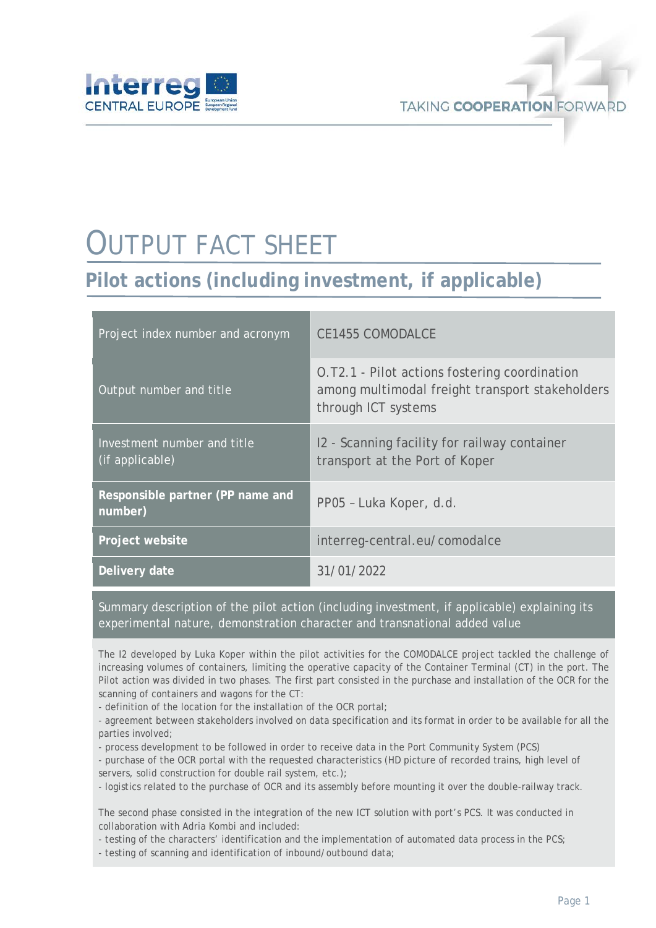

# OUTPUT FACT SHEET

## **Pilot actions (including investment, if applicable)**

| Project index number and acronym               | <b>CE1455 COMODALCE</b>                                                                                                 |
|------------------------------------------------|-------------------------------------------------------------------------------------------------------------------------|
| Output number and title                        | O.T2.1 - Pilot actions fostering coordination<br>among multimodal freight transport stakeholders<br>through ICT systems |
| Investment number and title<br>(if applicable) | 12 - Scanning facility for railway container<br>transport at the Port of Koper                                          |
| Responsible partner (PP name and<br>number)    | PP05 - Luka Koper, d.d.                                                                                                 |
| Project website                                | interreg-central.eu/comodalce                                                                                           |
| <b>Delivery date</b>                           | 31/01/2022                                                                                                              |

Summary description of the pilot action (including investment, if applicable) explaining its experimental nature, demonstration character and transnational added value

The I2 developed by Luka Koper within the pilot activities for the COMODALCE project tackled the challenge of increasing volumes of containers, limiting the operative capacity of the Container Terminal (CT) in the port. The Pilot action was divided in two phases. The first part consisted in the purchase and installation of the OCR for the scanning of containers and wagons for the CT:

- definition of the location for the installation of the OCR portal;

- agreement between stakeholders involved on data specification and its format in order to be available for all the parties involved;

- process development to be followed in order to receive data in the Port Community System (PCS)

- purchase of the OCR portal with the requested characteristics (HD picture of recorded trains, high level of servers, solid construction for double rail system, etc.);

- logistics related to the purchase of OCR and its assembly before mounting it over the double-railway track.

The second phase consisted in the integration of the new ICT solution with port's PCS. It was conducted in collaboration with Adria Kombi and included:

- testing of the characters' identification and the implementation of automated data process in the PCS;

- testing of scanning and identification of inbound/outbound data;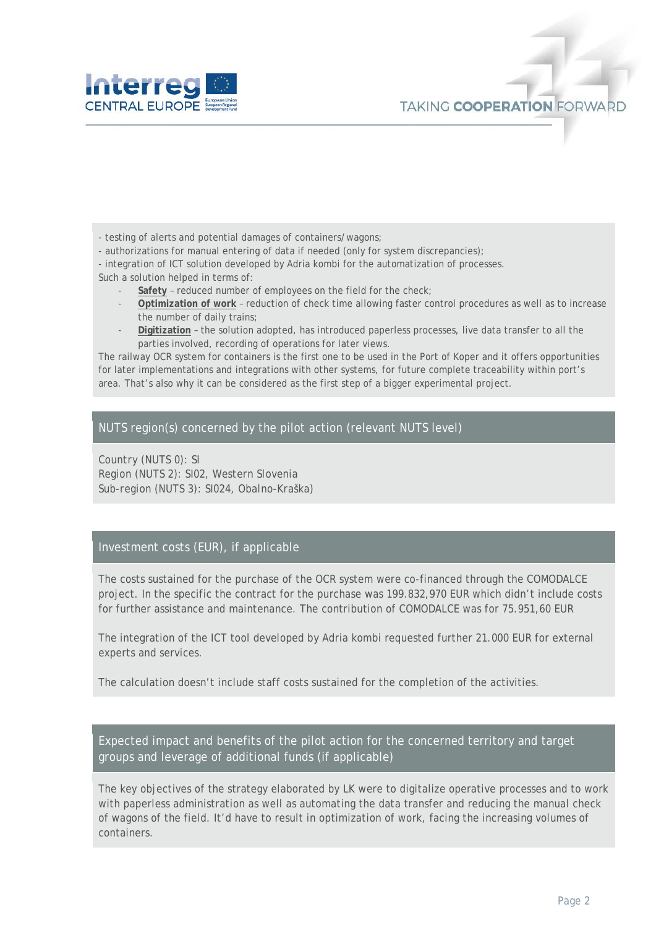

- testing of alerts and potential damages of containers/wagons;

- authorizations for manual entering of data if needed (only for system discrepancies);

- integration of ICT solution developed by Adria kombi for the automatization of processes.

Such a solution helped in terms of:

- Safety reduced number of employees on the field for the check;
- **Optimization of work** reduction of check time allowing faster control procedures as well as to increase the number of daily trains;
- **Digitization** the solution adopted, has introduced paperless processes, live data transfer to all the parties involved, recording of operations for later views.

The railway OCR system for containers is the first one to be used in the Port of Koper and it offers opportunities for later implementations and integrations with other systems, for future complete traceability within port's area. That's also why it can be considered as the first step of a bigger experimental project.

#### NUTS region(s) concerned by the pilot action (relevant NUTS level)

*Country (NUTS 0): SI Region (NUTS 2): SI02, Western Slovenia Sub-region (NUTS 3): SI024, Obalno-Kraška)*

#### Investment costs (EUR), if applicable

The costs sustained for the purchase of the OCR system were co-financed through the COMODALCE project. In the specific the contract for the purchase was 199.832,970 EUR which didn't include costs for further assistance and maintenance. The contribution of COMODALCE was for 75.951,60 EUR

The integration of the ICT tool developed by Adria kombi requested further 21.000 EUR for external experts and services.

The calculation doesn't include staff costs sustained for the completion of the activities.

Expected impact and benefits of the pilot action for the concerned territory and target groups and leverage of additional funds (if applicable)

The key objectives of the strategy elaborated by LK were to digitalize operative processes and to work with paperless administration as well as automating the data transfer and reducing the manual check of wagons of the field. It'd have to result in optimization of work, facing the increasing volumes of containers.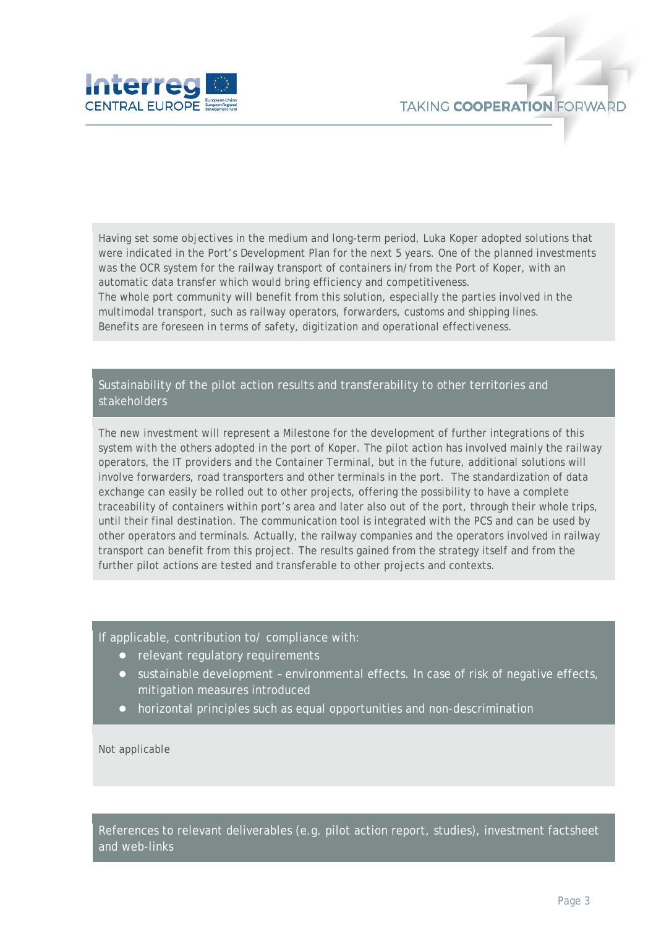

Having set some objectives in the medium and long-term period, Luka Koper adopted solutions that were indicated in the Port's Development Plan for the next 5 years. One of the planned investments was the OCR system for the railway transport of containers in/from the Port of Koper, with an automatic data transfer which would bring efficiency and competitiveness. The whole port community will benefit from this solution, especially the parties involved in the multimodal transport, such as railway operators, forwarders, customs and shipping lines.

Benefits are foreseen in terms of safety, digitization and operational effectiveness.

#### Sustainability of the pilot action results and transferability to other territories and stakeholders

The new investment will represent a Milestone for the development of further integrations of this system with the others adopted in the port of Koper. The pilot action has involved mainly the railway operators, the IT providers and the Container Terminal, but in the future, additional solutions will involve forwarders, road transporters and other terminals in the port. The standardization of data exchange can easily be rolled out to other projects, offering the possibility to have a complete traceability of containers within port's area and later also out of the port, through their whole trips, until their final destination. The communication tool is integrated with the PCS and can be used by other operators and terminals. Actually, the railway companies and the operators involved in railway transport can benefit from this project. The results gained from the strategy itself and from the further pilot actions are tested and transferable to other projects and contexts.

If applicable, contribution to/ compliance with:

- relevant regulatory requirements
- sustainable development environmental effects. In case of risk of negative effects, mitigation measures introduced
- horizontal principles such as equal opportunities and non-descrimination

Not applicable

References to relevant deliverables (e.g. pilot action report, studies), investment factsheet and web-links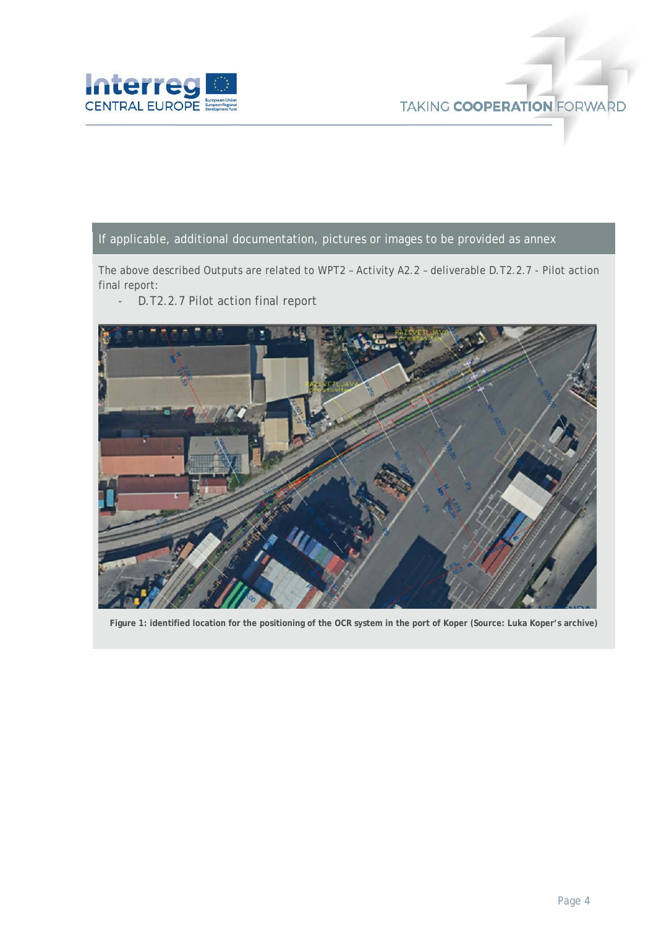

#### If applicable, additional documentation, pictures or images to be provided as annex

The above described Outputs are related to WPT2 – Activity A2.2 – deliverable D.T2.2.7 - Pilot action final report:

- D.T2.2.7 Pilot action final report



**Figure 1: identified location for the positioning of the OCR system in the port of Koper (Source: Luka Koper's archive)**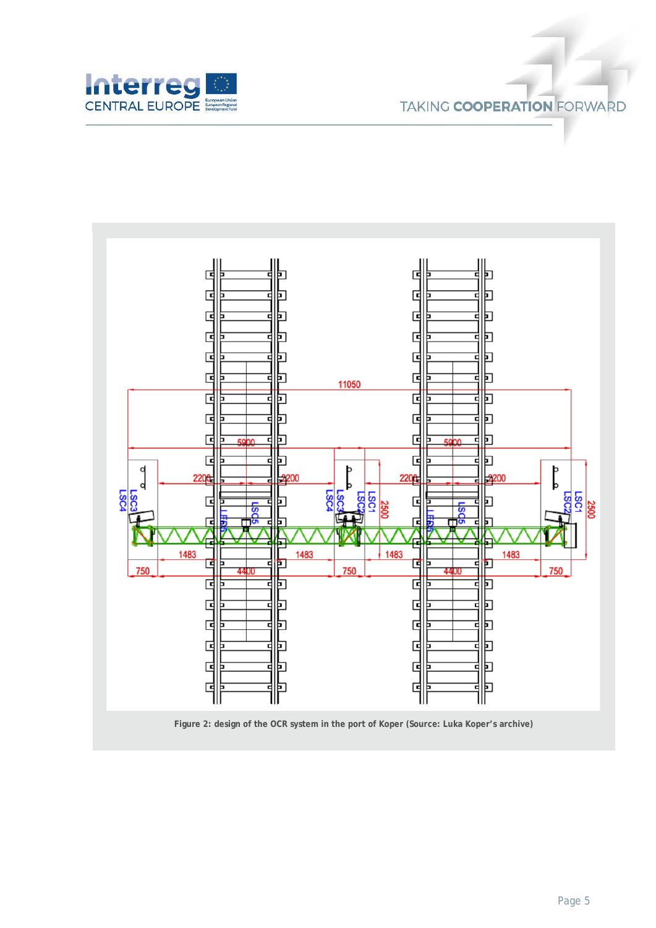



**Figure 2: design of the OCR system in the port of Koper (Source: Luka Koper's archive)**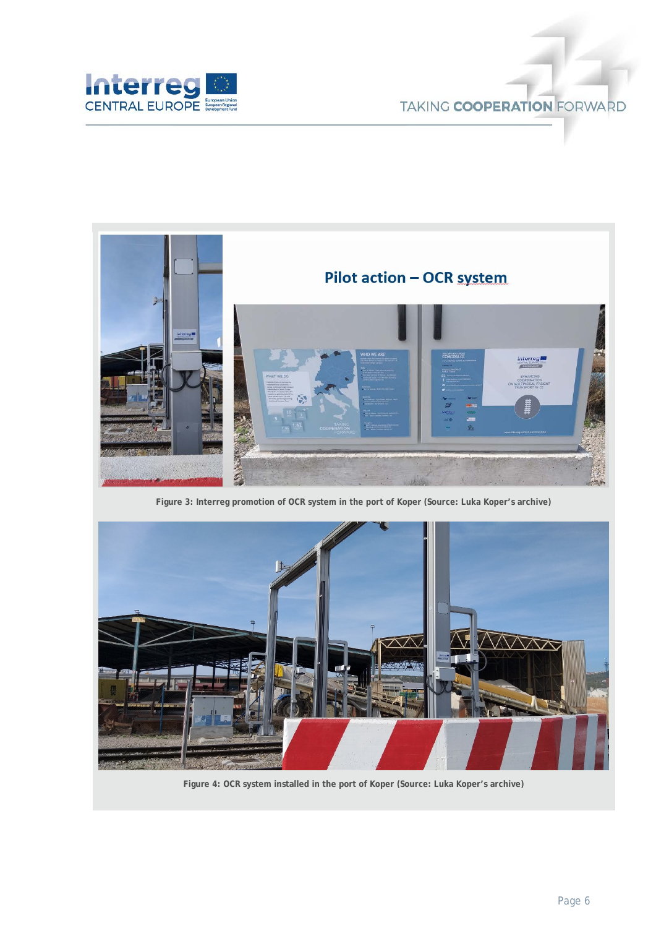

### **TAKING COOPERATION FORWARD**



**Figure 3: Interreg promotion of OCR system in the port of Koper (Source: Luka Koper's archive)**



**Figure 4: OCR system installed in the port of Koper (Source: Luka Koper's archive)**